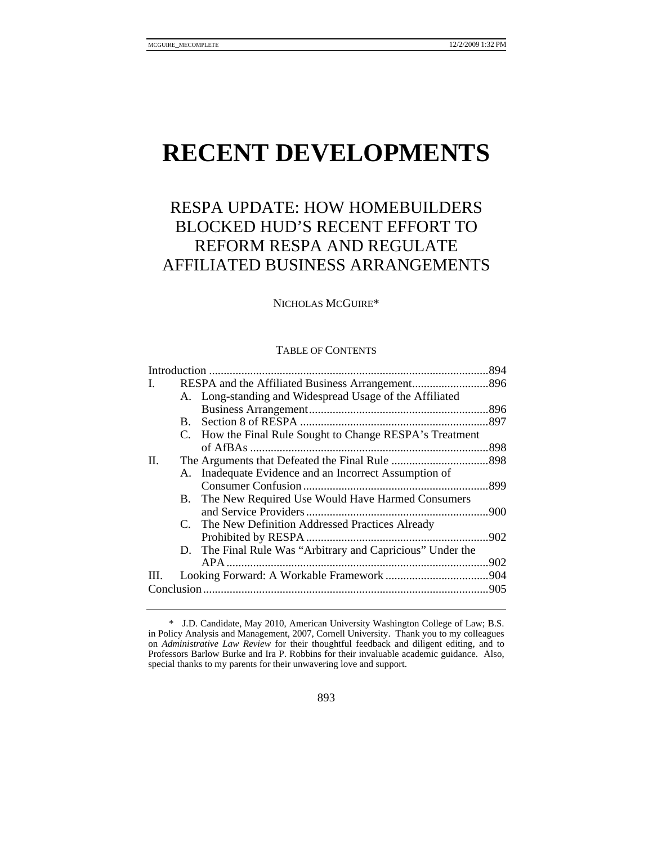# **RECENT DEVELOPMENTS**

# RESPA UPDATE: HOW HOMEBUILDERS BLOCKED HUD'S RECENT EFFORT TO REFORM RESPA AND REGULATE AFFILIATED BUSINESS ARRANGEMENTS

## NICHOLAS MCGUIRE\*

#### TABLE OF CONTENTS

|      |  |                                                            | .894 |
|------|--|------------------------------------------------------------|------|
| L    |  |                                                            |      |
|      |  | A. Long-standing and Widespread Usage of the Affiliated    |      |
|      |  |                                                            |      |
|      |  |                                                            |      |
|      |  | C. How the Final Rule Sought to Change RESPA's Treatment   |      |
|      |  |                                                            | .898 |
| П.   |  |                                                            |      |
|      |  | A. Inadequate Evidence and an Incorrect Assumption of      |      |
|      |  |                                                            |      |
|      |  | B. The New Required Use Would Have Harmed Consumers        |      |
|      |  |                                                            |      |
|      |  | C. The New Definition Addressed Practices Already          |      |
|      |  |                                                            | .902 |
|      |  | D. The Final Rule Was "Arbitrary and Capricious" Under the |      |
|      |  |                                                            |      |
| III. |  |                                                            |      |
|      |  |                                                            |      |
|      |  |                                                            |      |

 <sup>\*</sup> J.D. Candidate, May 2010, American University Washington College of Law; B.S. in Policy Analysis and Management, 2007, Cornell University. Thank you to my colleagues on *Administrative Law Review* for their thoughtful feedback and diligent editing, and to Professors Barlow Burke and Ira P. Robbins for their invaluable academic guidance. Also, special thanks to my parents for their unwavering love and support.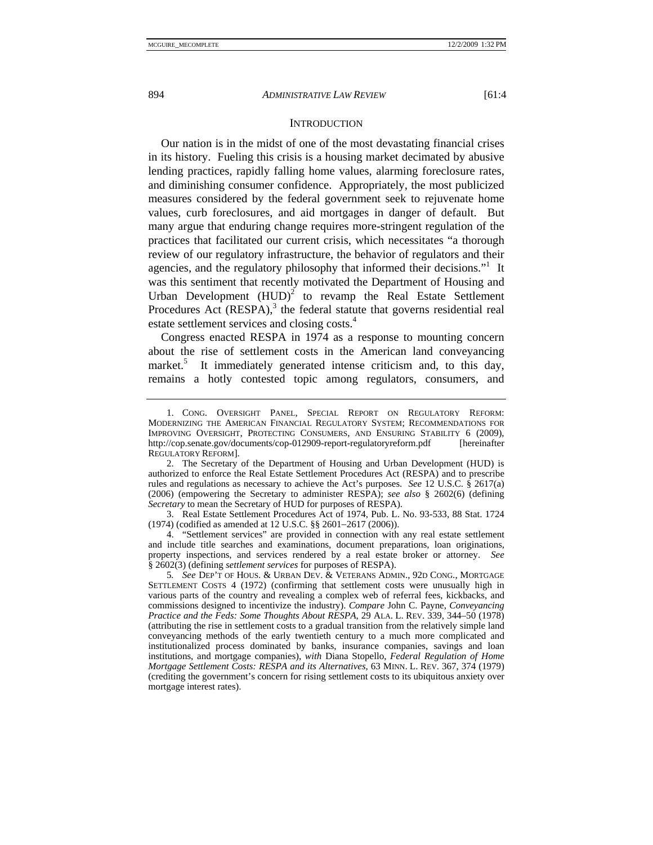#### **INTRODUCTION**

Our nation is in the midst of one of the most devastating financial crises in its history. Fueling this crisis is a housing market decimated by abusive lending practices, rapidly falling home values, alarming foreclosure rates, and diminishing consumer confidence. Appropriately, the most publicized measures considered by the federal government seek to rejuvenate home values, curb foreclosures, and aid mortgages in danger of default. But many argue that enduring change requires more-stringent regulation of the practices that facilitated our current crisis, which necessitates "a thorough review of our regulatory infrastructure, the behavior of regulators and their agencies, and the regulatory philosophy that informed their decisions."<sup>1</sup> It was this sentiment that recently motivated the Department of Housing and Urban Development  $(HUD)^2$  to revamp the Real Estate Settlement Procedures Act  $(RESPA)$ ,<sup>3</sup> the federal statute that governs residential real estate settlement services and closing costs.<sup>4</sup>

Congress enacted RESPA in 1974 as a response to mounting concern about the rise of settlement costs in the American land conveyancing market.<sup>5</sup> It immediately generated intense criticism and, to this day, remains a hotly contested topic among regulators, consumers, and

 <sup>1.</sup> CONG. OVERSIGHT PANEL, SPECIAL REPORT ON REGULATORY REFORM: MODERNIZING THE AMERICAN FINANCIAL REGULATORY SYSTEM; RECOMMENDATIONS FOR IMPROVING OVERSIGHT, PROTECTING CONSUMERS, AND ENSURING STABILITY 6 (2009), http://cop.senate.gov/documents/cop-012909-report-regulatoryreform.pdf [hereinafter REGULATORY REFORM].

 <sup>2.</sup> The Secretary of the Department of Housing and Urban Development (HUD) is authorized to enforce the Real Estate Settlement Procedures Act (RESPA) and to prescribe rules and regulations as necessary to achieve the Act's purposes. *See* 12 U.S.C. § 2617(a) (2006) (empowering the Secretary to administer RESPA); *see also* § 2602(6) (defining *Secretary* to mean the Secretary of HUD for purposes of RESPA).

 <sup>3.</sup> Real Estate Settlement Procedures Act of 1974, Pub. L. No. 93-533, 88 Stat. 1724 (1974) (codified as amended at 12 U.S.C. §§ 2601−2617 (2006)).

 <sup>4. &</sup>quot;Settlement services" are provided in connection with any real estate settlement and include title searches and examinations, document preparations, loan originations, property inspections, and services rendered by a real estate broker or attorney. *See*  § 2602(3) (defining *settlement services* for purposes of RESPA).

<sup>5</sup>*. See* DEP'T OF HOUS. & URBAN DEV. & VETERANS ADMIN., 92D CONG., MORTGAGE SETTLEMENT COSTS 4 (1972) (confirming that settlement costs were unusually high in various parts of the country and revealing a complex web of referral fees, kickbacks, and commissions designed to incentivize the industry). *Compare* John C. Payne, *Conveyancing Practice and the Feds: Some Thoughts About RESPA*, 29 ALA. L. REV. 339, 344–50 (1978) (attributing the rise in settlement costs to a gradual transition from the relatively simple land conveyancing methods of the early twentieth century to a much more complicated and institutionalized process dominated by banks, insurance companies, savings and loan institutions, and mortgage companies), *with* Diana Stopello, *Federal Regulation of Home Mortgage Settlement Costs: RESPA and its Alternatives*, 63 MINN. L. REV. 367, 374 (1979) (crediting the government's concern for rising settlement costs to its ubiquitous anxiety over mortgage interest rates).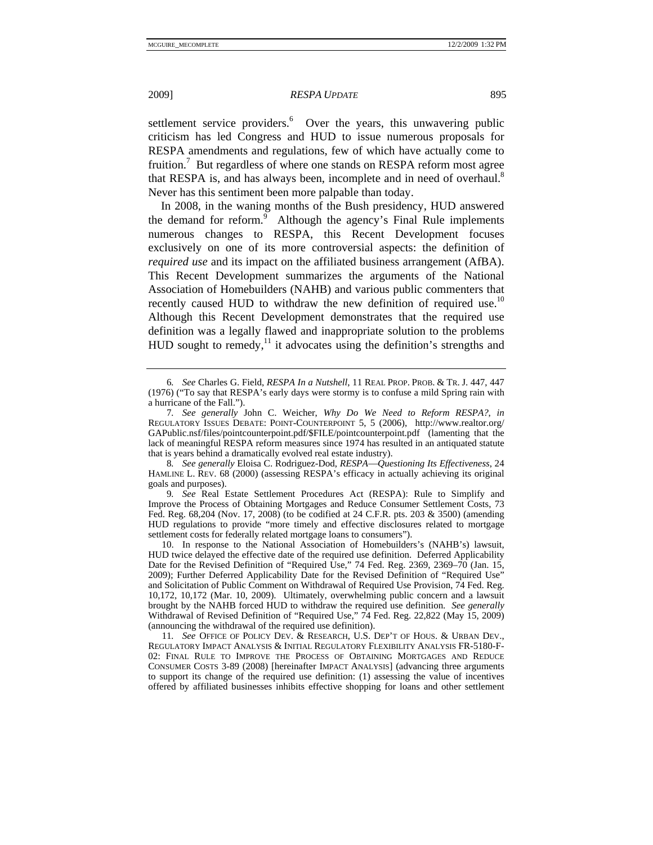settlement service providers.<sup>6</sup> Over the years, this unwavering public criticism has led Congress and HUD to issue numerous proposals for RESPA amendments and regulations, few of which have actually come to fruition.<sup>7</sup> But regardless of where one stands on RESPA reform most agree that RESPA is, and has always been, incomplete and in need of overhaul. $8$ Never has this sentiment been more palpable than today.

In 2008, in the waning months of the Bush presidency, HUD answered the demand for reform.<sup>9</sup> Although the agency's Final Rule implements numerous changes to RESPA, this Recent Development focuses exclusively on one of its more controversial aspects: the definition of *required use* and its impact on the affiliated business arrangement (AfBA). This Recent Development summarizes the arguments of the National Association of Homebuilders (NAHB) and various public commenters that recently caused HUD to withdraw the new definition of required use.<sup>10</sup> Although this Recent Development demonstrates that the required use definition was a legally flawed and inappropriate solution to the problems HUD sought to remedy, $\frac{11}{11}$  it advocates using the definition's strengths and

9*. See* Real Estate Settlement Procedures Act (RESPA): Rule to Simplify and Improve the Process of Obtaining Mortgages and Reduce Consumer Settlement Costs, 73 Fed. Reg. 68,204 (Nov. 17, 2008) (to be codified at 24 C.F.R. pts. 203 & 3500) (amending HUD regulations to provide "more timely and effective disclosures related to mortgage settlement costs for federally related mortgage loans to consumers").

 10. In response to the National Association of Homebuilders's (NAHB's) lawsuit, HUD twice delayed the effective date of the required use definition. Deferred Applicability Date for the Revised Definition of "Required Use," 74 Fed. Reg. 2369, 2369–70 (Jan. 15, 2009); Further Deferred Applicability Date for the Revised Definition of "Required Use" and Solicitation of Public Comment on Withdrawal of Required Use Provision, 74 Fed. Reg. 10,172, 10,172 (Mar. 10, 2009). Ultimately, overwhelming public concern and a lawsuit brought by the NAHB forced HUD to withdraw the required use definition. *See generally* Withdrawal of Revised Definition of "Required Use," 74 Fed. Reg. 22,822 (May 15, 2009) (announcing the withdrawal of the required use definition).

11*. See* OFFICE OF POLICY DEV. & RESEARCH, U.S. DEP'T OF HOUS. & URBAN DEV., REGULATORY IMPACT ANALYSIS & INITIAL REGULATORY FLEXIBILITY ANALYSIS FR-5180-F-02: FINAL RULE TO IMPROVE THE PROCESS OF OBTAINING MORTGAGES AND REDUCE CONSUMER COSTS 3-89 (2008) [hereinafter IMPACT ANALYSIS] (advancing three arguments to support its change of the required use definition: (1) assessing the value of incentives offered by affiliated businesses inhibits effective shopping for loans and other settlement

<sup>6</sup>*. See* Charles G. Field, *RESPA In a Nutshell*, 11 REAL PROP. PROB. & TR. J. 447, 447 (1976) ("To say that RESPA's early days were stormy is to confuse a mild Spring rain with a hurricane of the Fall.").

<sup>7</sup>*. See generally* John C. Weicher, *Why Do We Need to Reform RESPA?*, *in* REGULATORY ISSUES DEBATE: POINT-COUNTERPOINT 5, 5 (2006), http://www.realtor.org/ GAPublic.nsf/files/pointcounterpoint.pdf/\$FILE/pointcounterpoint.pdf (lamenting that the lack of meaningful RESPA reform measures since 1974 has resulted in an antiquated statute that is years behind a dramatically evolved real estate industry).

<sup>8.</sup> See generally Eloisa C. Rodriguez-Dod, *RESPA—Questioning Its Effectiveness*, 24 HAMLINE L. REV. 68 (2000) (assessing RESPA's efficacy in actually achieving its original goals and purposes).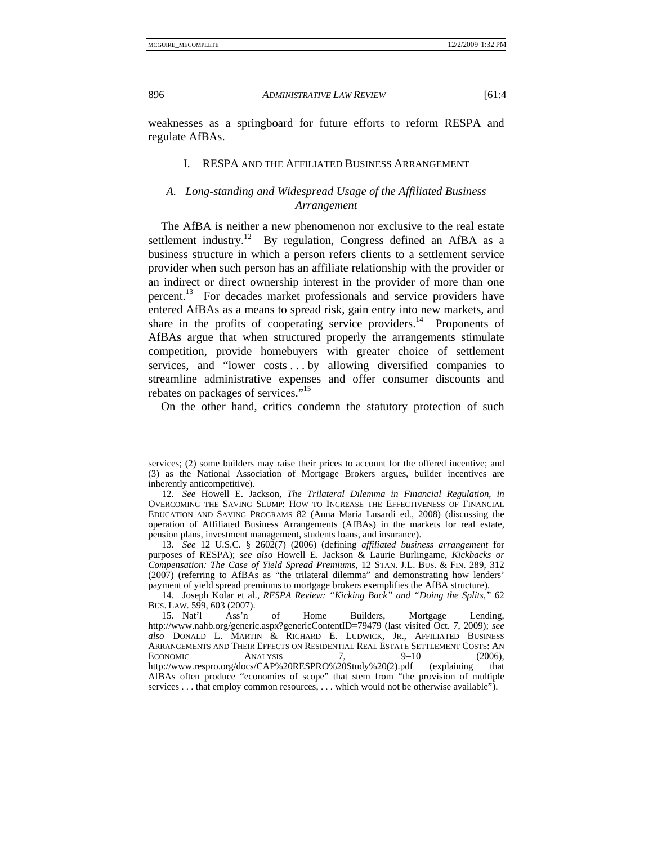weaknesses as a springboard for future efforts to reform RESPA and regulate AfBAs.

#### I. RESPA AND THE AFFILIATED BUSINESS ARRANGEMENT

# *A. Long-standing and Widespread Usage of the Affiliated Business Arrangement*

The AfBA is neither a new phenomenon nor exclusive to the real estate settlement industry.<sup>12</sup> By regulation, Congress defined an AfBA as a business structure in which a person refers clients to a settlement service provider when such person has an affiliate relationship with the provider or an indirect or direct ownership interest in the provider of more than one percent.13 For decades market professionals and service providers have entered AfBAs as a means to spread risk, gain entry into new markets, and share in the profits of cooperating service providers.<sup>14</sup> Proponents of AfBAs argue that when structured properly the arrangements stimulate competition, provide homebuyers with greater choice of settlement services, and "lower costs . . . by allowing diversified companies to streamline administrative expenses and offer consumer discounts and rebates on packages of services."<sup>15</sup>

On the other hand, critics condemn the statutory protection of such

services; (2) some builders may raise their prices to account for the offered incentive; and (3) as the National Association of Mortgage Brokers argues, builder incentives are inherently anticompetitive).

<sup>12</sup>*. See* Howell E. Jackson, *The Trilateral Dilemma in Financial Regulation*, *in* OVERCOMING THE SAVING SLUMP: HOW TO INCREASE THE EFFECTIVENESS OF FINANCIAL EDUCATION AND SAVING PROGRAMS 82 (Anna Maria Lusardi ed., 2008) (discussing the operation of Affiliated Business Arrangements (AfBAs) in the markets for real estate, pension plans, investment management, students loans, and insurance).

<sup>13</sup>*. See* 12 U.S.C. § 2602(7) (2006) (defining *affiliated business arrangement* for purposes of RESPA); *see also* Howell E. Jackson & Laurie Burlingame, *Kickbacks or Compensation: The Case of Yield Spread Premiums*, 12 STAN. J.L. BUS. & FIN. 289, 312 (2007) (referring to AfBAs as "the trilateral dilemma" and demonstrating how lenders' payment of yield spread premiums to mortgage brokers exemplifies the AfBA structure).

 <sup>14.</sup> Joseph Kolar et al., *RESPA Review: "Kicking Back" and "Doing the Splits*,*"* 62 BUS. LAW. 599, 603 (2007).

 <sup>15.</sup> Nat'l Ass'n of Home Builders, Mortgage Lending, http://www.nahb.org/generic.aspx?genericContentID=79479 (last visited Oct. 7, 2009); *see also* DONALD L. MARTIN & RICHARD E. LUDWICK, JR., AFFILIATED BUSINESS ARRANGEMENTS AND THEIR EFFECTS ON RESIDENTIAL REAL ESTATE SETTLEMENT COSTS: AN ECONOMIC ANALYSIS  $7, 9-10$  (2006), http://www.respro.org/docs/CAP%20RESPRO%20Study%20(2).pdf (explaining that AfBAs often produce "economies of scope" that stem from "the provision of multiple services . . . that employ common resources, . . . which would not be otherwise available").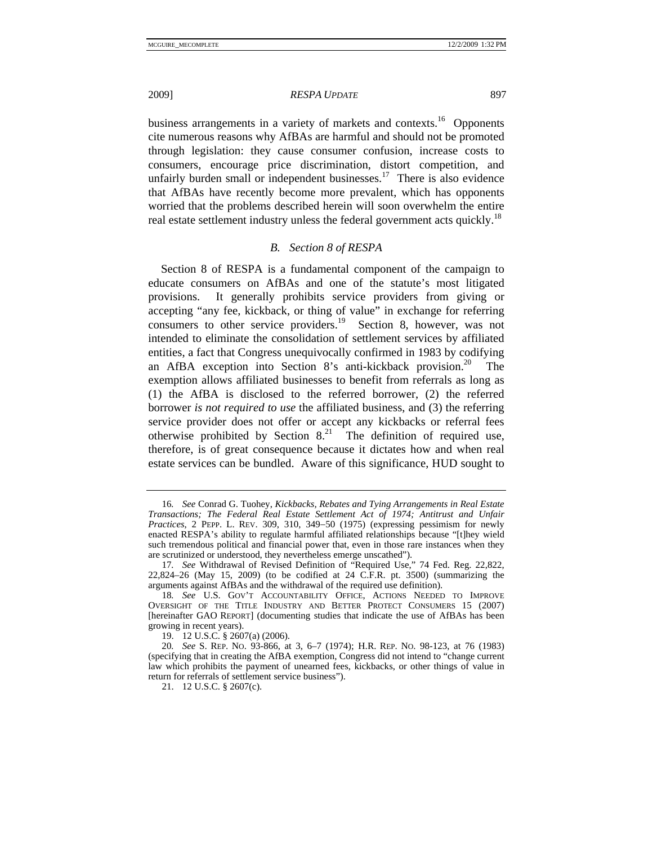2009] *RESPA UPDATE* 897

business arrangements in a variety of markets and contexts.<sup>16</sup> Opponents cite numerous reasons why AfBAs are harmful and should not be promoted through legislation: they cause consumer confusion, increase costs to consumers, encourage price discrimination, distort competition, and unfairly burden small or independent businesses.<sup>17</sup> There is also evidence that AfBAs have recently become more prevalent, which has opponents worried that the problems described herein will soon overwhelm the entire real estate settlement industry unless the federal government acts quickly.<sup>18</sup>

# *B. Section 8 of RESPA*

Section 8 of RESPA is a fundamental component of the campaign to educate consumers on AfBAs and one of the statute's most litigated provisions. It generally prohibits service providers from giving or accepting "any fee, kickback, or thing of value" in exchange for referring consumers to other service providers.<sup>19</sup> Section 8, however, was not intended to eliminate the consolidation of settlement services by affiliated entities, a fact that Congress unequivocally confirmed in 1983 by codifying an AfBA exception into Section 8's anti-kickback provision.<sup>20</sup> The exemption allows affiliated businesses to benefit from referrals as long as (1) the AfBA is disclosed to the referred borrower, (2) the referred borrower *is not required to use* the affiliated business, and (3) the referring service provider does not offer or accept any kickbacks or referral fees otherwise prohibited by Section  $8<sup>21</sup>$  The definition of required use, therefore, is of great consequence because it dictates how and when real estate services can be bundled. Aware of this significance, HUD sought to

<sup>16</sup>*. See* Conrad G. Tuohey, *Kickbacks, Rebates and Tying Arrangements in Real Estate Transactions; The Federal Real Estate Settlement Act of 1974; Antitrust and Unfair Practices*, 2 PEPP. L. REV. 309, 310, 349−50 (1975) (expressing pessimism for newly enacted RESPA's ability to regulate harmful affiliated relationships because "[t]hey wield such tremendous political and financial power that, even in those rare instances when they are scrutinized or understood, they nevertheless emerge unscathed").

<sup>17</sup>*. See* Withdrawal of Revised Definition of "Required Use," 74 Fed. Reg. 22,822, 22,824–26 (May 15, 2009) (to be codified at 24 C.F.R. pt. 3500) (summarizing the arguments against AfBAs and the withdrawal of the required use definition).

<sup>18</sup>*. See* U.S. GOV'T ACCOUNTABILITY OFFICE, ACTIONS NEEDED TO IMPROVE OVERSIGHT OF THE TITLE INDUSTRY AND BETTER PROTECT CONSUMERS 15 (2007) [hereinafter GAO REPORT] (documenting studies that indicate the use of AfBAs has been growing in recent years).

 <sup>19. 12</sup> U.S.C. § 2607(a) (2006).

<sup>20</sup>*. See* S. REP. NO. 93-866, at 3, 6–7 (1974); H.R. REP. NO. 98-123, at 76 (1983) (specifying that in creating the AfBA exemption, Congress did not intend to "change current law which prohibits the payment of unearned fees, kickbacks, or other things of value in return for referrals of settlement service business").

 <sup>21. 12</sup> U.S.C. § 2607(c).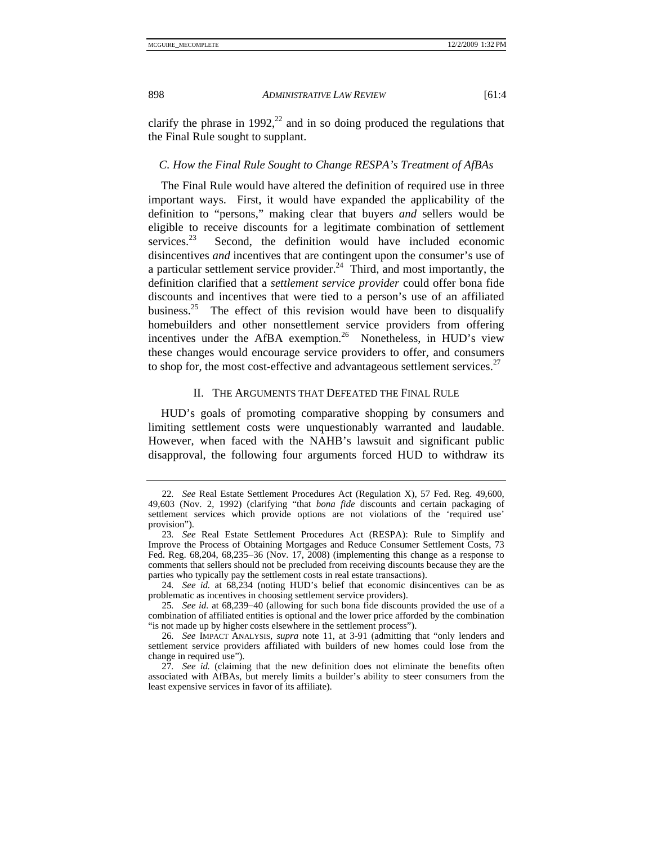clarify the phrase in 1992,<sup>22</sup> and in so doing produced the regulations that the Final Rule sought to supplant.

# *C. How the Final Rule Sought to Change RESPA's Treatment of AfBAs*

The Final Rule would have altered the definition of required use in three important ways. First, it would have expanded the applicability of the definition to "persons," making clear that buyers *and* sellers would be eligible to receive discounts for a legitimate combination of settlement services.<sup>23</sup> Second, the definition would have included economic disincentives *and* incentives that are contingent upon the consumer's use of a particular settlement service provider.<sup>24</sup> Third, and most importantly, the definition clarified that a *settlement service provider* could offer bona fide discounts and incentives that were tied to a person's use of an affiliated business.<sup>25</sup> The effect of this revision would have been to disqualify homebuilders and other nonsettlement service providers from offering incentives under the AfBA exemption.<sup>26</sup> Nonetheless, in HUD's view these changes would encourage service providers to offer, and consumers to shop for, the most cost-effective and advantageous settlement services.<sup>27</sup>

# II. THE ARGUMENTS THAT DEFEATED THE FINAL RULE

HUD's goals of promoting comparative shopping by consumers and limiting settlement costs were unquestionably warranted and laudable. However, when faced with the NAHB's lawsuit and significant public disapproval, the following four arguments forced HUD to withdraw its

<sup>22</sup>*. See* Real Estate Settlement Procedures Act (Regulation X), 57 Fed. Reg. 49,600, 49,603 (Nov. 2, 1992) (clarifying "that *bona fide* discounts and certain packaging of settlement services which provide options are not violations of the 'required use' provision").

<sup>23</sup>*. See* Real Estate Settlement Procedures Act (RESPA): Rule to Simplify and Improve the Process of Obtaining Mortgages and Reduce Consumer Settlement Costs, 73 Fed. Reg. 68,204, 68,235−36 (Nov. 17, 2008) (implementing this change as a response to comments that sellers should not be precluded from receiving discounts because they are the parties who typically pay the settlement costs in real estate transactions).

<sup>24</sup>*. See id.* at 68,234 (noting HUD's belief that economic disincentives can be as problematic as incentives in choosing settlement service providers).

<sup>25</sup>*. See id.* at 68,239−40 (allowing for such bona fide discounts provided the use of a combination of affiliated entities is optional and the lower price afforded by the combination "is not made up by higher costs elsewhere in the settlement process").

<sup>26</sup>*. See* IMPACT ANALYSIS, *supra* note 11, at 3-91 (admitting that "only lenders and settlement service providers affiliated with builders of new homes could lose from the change in required use").

<sup>27</sup>*. See id.* (claiming that the new definition does not eliminate the benefits often associated with AfBAs, but merely limits a builder's ability to steer consumers from the least expensive services in favor of its affiliate).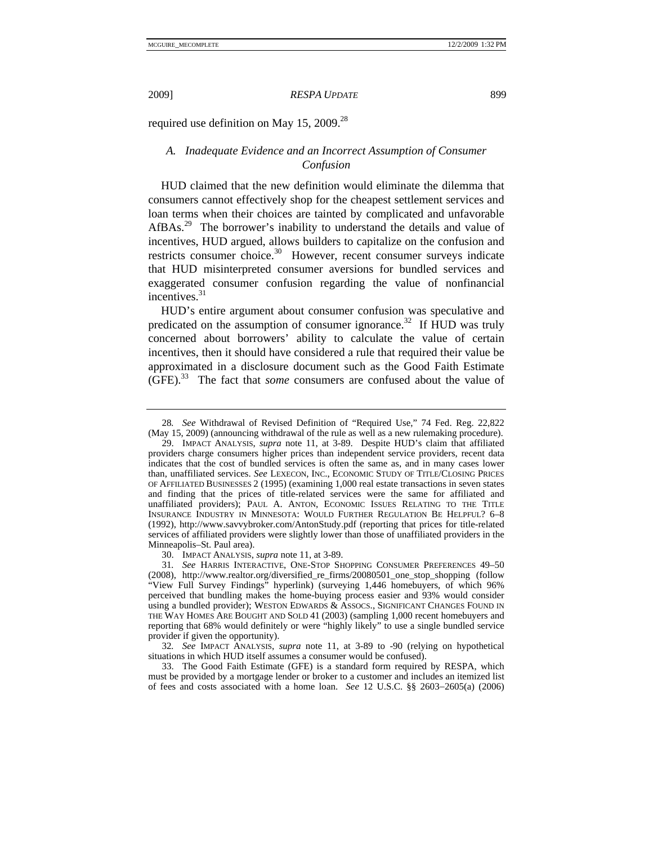required use definition on May 15, 2009.<sup>28</sup>

# *A. Inadequate Evidence and an Incorrect Assumption of Consumer Confusion*

HUD claimed that the new definition would eliminate the dilemma that consumers cannot effectively shop for the cheapest settlement services and loan terms when their choices are tainted by complicated and unfavorable AfBAs.<sup>29</sup> The borrower's inability to understand the details and value of incentives, HUD argued, allows builders to capitalize on the confusion and restricts consumer choice.<sup>30</sup> However, recent consumer surveys indicate that HUD misinterpreted consumer aversions for bundled services and exaggerated consumer confusion regarding the value of nonfinancial incentives.<sup>31</sup>

HUD's entire argument about consumer confusion was speculative and predicated on the assumption of consumer ignorance.<sup>32</sup> If HUD was truly concerned about borrowers' ability to calculate the value of certain incentives, then it should have considered a rule that required their value be approximated in a disclosure document such as the Good Faith Estimate (GFE).33 The fact that *some* consumers are confused about the value of

30. IMPACT ANALYSIS, *supra* note 11, at 3-89.

<sup>28</sup>*. See* Withdrawal of Revised Definition of "Required Use," 74 Fed. Reg. 22,822 (May 15, 2009) (announcing withdrawal of the rule as well as a new rulemaking procedure).

 <sup>29.</sup> IMPACT ANALYSIS, *supra* note 11, at 3-89. Despite HUD's claim that affiliated providers charge consumers higher prices than independent service providers, recent data indicates that the cost of bundled services is often the same as, and in many cases lower than, unaffiliated services. *See* LEXECON, INC., ECONOMIC STUDY OF TITLE/CLOSING PRICES OF AFFILIATED BUSINESSES 2 (1995) (examining 1,000 real estate transactions in seven states and finding that the prices of title-related services were the same for affiliated and unaffiliated providers); PAUL A. ANTON, ECONOMIC ISSUES RELATING TO THE TITLE INSURANCE INDUSTRY IN MINNESOTA: WOULD FURTHER REGULATION BE HELPFUL? 6–8 (1992), http://www.savvybroker.com/AntonStudy.pdf (reporting that prices for title-related services of affiliated providers were slightly lower than those of unaffiliated providers in the Minneapolis–St. Paul area).

<sup>31</sup>*. See* HARRIS INTERACTIVE, ONE-STOP SHOPPING CONSUMER PREFERENCES 49–50 (2008), http://www.realtor.org/diversified\_re\_firms/20080501\_one\_stop\_shopping (follow "View Full Survey Findings" hyperlink) (surveying 1,446 homebuyers, of which 96% perceived that bundling makes the home-buying process easier and 93% would consider using a bundled provider); WESTON EDWARDS & ASSOCS., SIGNIFICANT CHANGES FOUND IN THE WAY HOMES ARE BOUGHT AND SOLD 41 (2003) (sampling 1,000 recent homebuyers and reporting that 68% would definitely or were "highly likely" to use a single bundled service provider if given the opportunity).

<sup>32</sup>*. See* IMPACT ANALYSIS, *supra* note 11, at 3-89 to -90 (relying on hypothetical situations in which HUD itself assumes a consumer would be confused).

 <sup>33.</sup> The Good Faith Estimate (GFE) is a standard form required by RESPA, which must be provided by a mortgage lender or broker to a customer and includes an itemized list of fees and costs associated with a home loan. *See* 12 U.S.C. §§ 2603−2605(a) (2006)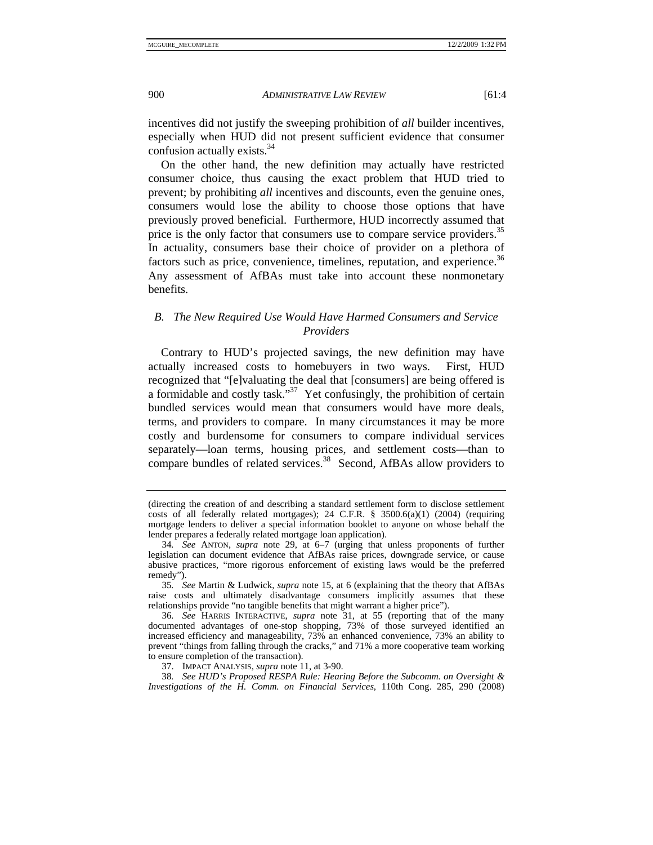incentives did not justify the sweeping prohibition of *all* builder incentives, especially when HUD did not present sufficient evidence that consumer confusion actually exists.34

On the other hand, the new definition may actually have restricted consumer choice, thus causing the exact problem that HUD tried to prevent; by prohibiting *all* incentives and discounts, even the genuine ones, consumers would lose the ability to choose those options that have previously proved beneficial. Furthermore, HUD incorrectly assumed that price is the only factor that consumers use to compare service providers.<sup>35</sup> In actuality, consumers base their choice of provider on a plethora of factors such as price, convenience, timelines, reputation, and experience.<sup>36</sup> Any assessment of AfBAs must take into account these nonmonetary benefits.

# *B. The New Required Use Would Have Harmed Consumers and Service Providers*

Contrary to HUD's projected savings, the new definition may have actually increased costs to homebuyers in two ways. First, HUD recognized that "[e]valuating the deal that [consumers] are being offered is a formidable and costly task."<sup>37</sup> Yet confusingly, the prohibition of certain bundled services would mean that consumers would have more deals, terms, and providers to compare. In many circumstances it may be more costly and burdensome for consumers to compare individual services separately—loan terms, housing prices, and settlement costs—than to compare bundles of related services.<sup>38</sup> Second, AfBAs allow providers to

<sup>(</sup>directing the creation of and describing a standard settlement form to disclose settlement costs of all federally related mortgages); 24 C.F.R. § 3500.6(a)(1) (2004) (requiring mortgage lenders to deliver a special information booklet to anyone on whose behalf the lender prepares a federally related mortgage loan application).

<sup>34</sup>*. See* ANTON, *supra* note 29, at 6–7 (urging that unless proponents of further legislation can document evidence that AfBAs raise prices, downgrade service, or cause abusive practices, "more rigorous enforcement of existing laws would be the preferred remedy").

<sup>35</sup>*. See* Martin & Ludwick, *supra* note 15, at 6 (explaining that the theory that AfBAs raise costs and ultimately disadvantage consumers implicitly assumes that these relationships provide "no tangible benefits that might warrant a higher price").

<sup>36</sup>*. See* HARRIS INTERACTIVE, *supra* note 31, at 55 (reporting that of the many documented advantages of one-stop shopping, 73% of those surveyed identified an increased efficiency and manageability, 73% an enhanced convenience, 73% an ability to prevent "things from falling through the cracks," and 71% a more cooperative team working to ensure completion of the transaction).

 <sup>37.</sup> IMPACT ANALYSIS, *supra* note 11, at 3-90.

<sup>38</sup>*. See HUD's Proposed RESPA Rule: Hearing Before the Subcomm. on Oversight & Investigations of the H. Comm. on Financial Services*, 110th Cong. 285, 290 (2008)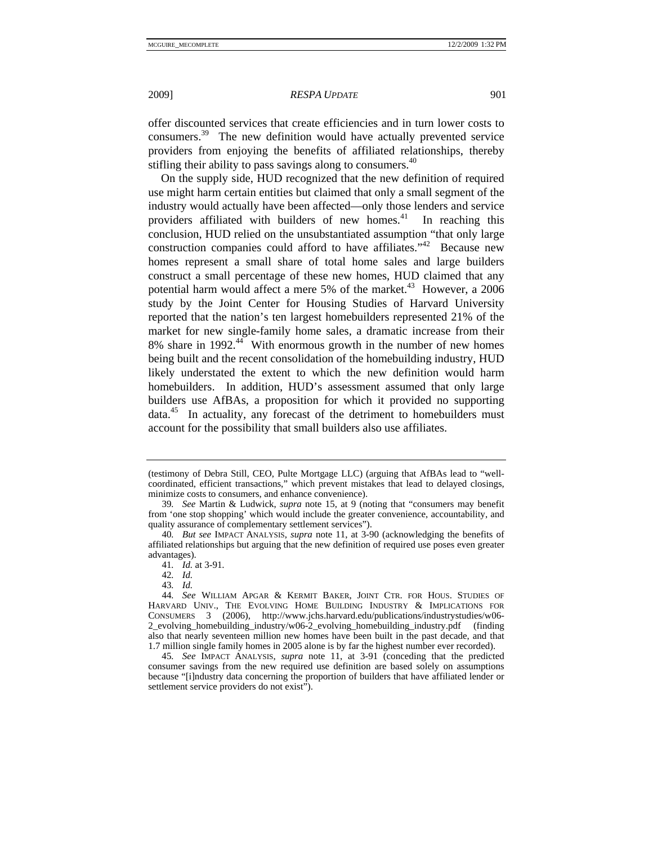offer discounted services that create efficiencies and in turn lower costs to consumers.39 The new definition would have actually prevented service providers from enjoying the benefits of affiliated relationships, thereby stifling their ability to pass savings along to consumers.<sup>40</sup>

On the supply side, HUD recognized that the new definition of required use might harm certain entities but claimed that only a small segment of the industry would actually have been affected—only those lenders and service providers affiliated with builders of new homes.<sup>41</sup> In reaching this conclusion, HUD relied on the unsubstantiated assumption "that only large construction companies could afford to have affiliates. $142$  Because new homes represent a small share of total home sales and large builders construct a small percentage of these new homes, HUD claimed that any potential harm would affect a mere 5% of the market.<sup>43</sup> However, a 2006 study by the Joint Center for Housing Studies of Harvard University reported that the nation's ten largest homebuilders represented 21% of the market for new single-family home sales, a dramatic increase from their 8% share in 1992. $44\overline{ }$  With enormous growth in the number of new homes being built and the recent consolidation of the homebuilding industry, HUD likely understated the extent to which the new definition would harm homebuilders. In addition, HUD's assessment assumed that only large builders use AfBAs, a proposition for which it provided no supporting data.45 In actuality, any forecast of the detriment to homebuilders must account for the possibility that small builders also use affiliates.

<sup>(</sup>testimony of Debra Still, CEO, Pulte Mortgage LLC) (arguing that AfBAs lead to "wellcoordinated, efficient transactions," which prevent mistakes that lead to delayed closings, minimize costs to consumers, and enhance convenience).

<sup>39</sup>*. See* Martin & Ludwick, *supra* note 15, at 9 (noting that "consumers may benefit from 'one stop shopping' which would include the greater convenience, accountability, and quality assurance of complementary settlement services").

<sup>40</sup>*. But see* IMPACT ANALYSIS, *supra* note 11, at 3-90 (acknowledging the benefits of affiliated relationships but arguing that the new definition of required use poses even greater advantages).

<sup>41</sup>*. Id.* at 3-91.

<sup>42</sup>*. Id.*

<sup>43</sup>*. Id.*

<sup>44</sup>*. See* WILLIAM APGAR & KERMIT BAKER, JOINT CTR. FOR HOUS. STUDIES OF HARVARD UNIV., THE EVOLVING HOME BUILDING INDUSTRY & IMPLICATIONS FOR CONSUMERS 3 (2006), http://www.jchs.harvard.edu/publications/industrystudies/w06- 2 evolving homebuilding industry/w06-2 evolving homebuilding industry.pdf (finding also that nearly seventeen million new homes have been built in the past decade, and that 1.7 million single family homes in 2005 alone is by far the highest number ever recorded).

<sup>45</sup>*. See* IMPACT ANALYSIS, *supra* note 11, at 3-91 (conceding that the predicted consumer savings from the new required use definition are based solely on assumptions because "[i]ndustry data concerning the proportion of builders that have affiliated lender or settlement service providers do not exist").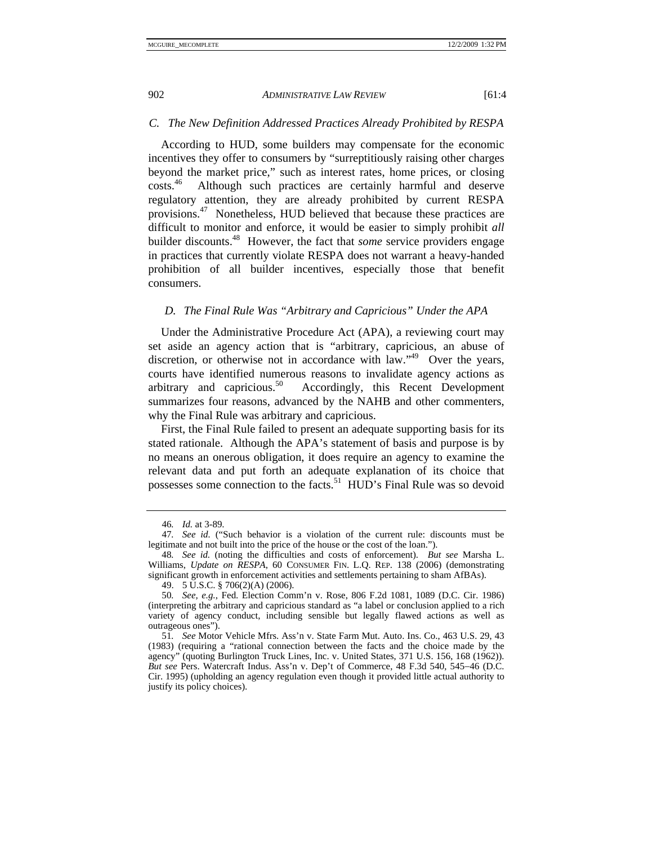### *C. The New Definition Addressed Practices Already Prohibited by RESPA*

According to HUD, some builders may compensate for the economic incentives they offer to consumers by "surreptitiously raising other charges beyond the market price," such as interest rates, home prices, or closing costs.46 Although such practices are certainly harmful and deserve regulatory attention, they are already prohibited by current RESPA provisions.<sup>47</sup> Nonetheless, HUD believed that because these practices are difficult to monitor and enforce, it would be easier to simply prohibit *all* builder discounts.48 However, the fact that *some* service providers engage in practices that currently violate RESPA does not warrant a heavy-handed prohibition of all builder incentives, especially those that benefit consumers.

## *D. The Final Rule Was "Arbitrary and Capricious" Under the APA*

Under the Administrative Procedure Act (APA), a reviewing court may set aside an agency action that is "arbitrary, capricious, an abuse of discretion, or otherwise not in accordance with law."<sup>49</sup> Over the years, courts have identified numerous reasons to invalidate agency actions as arbitrary and capricious.50 Accordingly, this Recent Development summarizes four reasons, advanced by the NAHB and other commenters, why the Final Rule was arbitrary and capricious.

First, the Final Rule failed to present an adequate supporting basis for its stated rationale. Although the APA's statement of basis and purpose is by no means an onerous obligation, it does require an agency to examine the relevant data and put forth an adequate explanation of its choice that possesses some connection to the facts.<sup>51</sup> HUD's Final Rule was so devoid

<sup>46</sup>*. Id.* at 3-89.

<sup>47</sup>*. See id.* ("Such behavior is a violation of the current rule: discounts must be legitimate and not built into the price of the house or the cost of the loan.").

<sup>48</sup>*. See id.* (noting the difficulties and costs of enforcement). *But see* Marsha L. Williams, *Update on RESPA*, 60 CONSUMER FIN. L.Q. REP. 138 (2006) (demonstrating significant growth in enforcement activities and settlements pertaining to sham AfBAs).

 <sup>49. 5</sup> U.S.C. § 706(2)(A) (2006).

<sup>50</sup>*. See, e.g.*, Fed. Election Comm'n v. Rose, 806 F.2d 1081, 1089 (D.C. Cir. 1986) (interpreting the arbitrary and capricious standard as "a label or conclusion applied to a rich variety of agency conduct, including sensible but legally flawed actions as well as outrageous ones").

<sup>51</sup>*. See* Motor Vehicle Mfrs. Ass'n v. State Farm Mut. Auto. Ins. Co., 463 U.S. 29, 43 (1983) (requiring a "rational connection between the facts and the choice made by the agency" (quoting Burlington Truck Lines, Inc. v. United States, 371 U.S. 156, 168 (1962)). *But see* Pers. Watercraft Indus. Ass'n v. Dep't of Commerce, 48 F.3d 540, 545−46 (D.C. Cir. 1995) (upholding an agency regulation even though it provided little actual authority to justify its policy choices).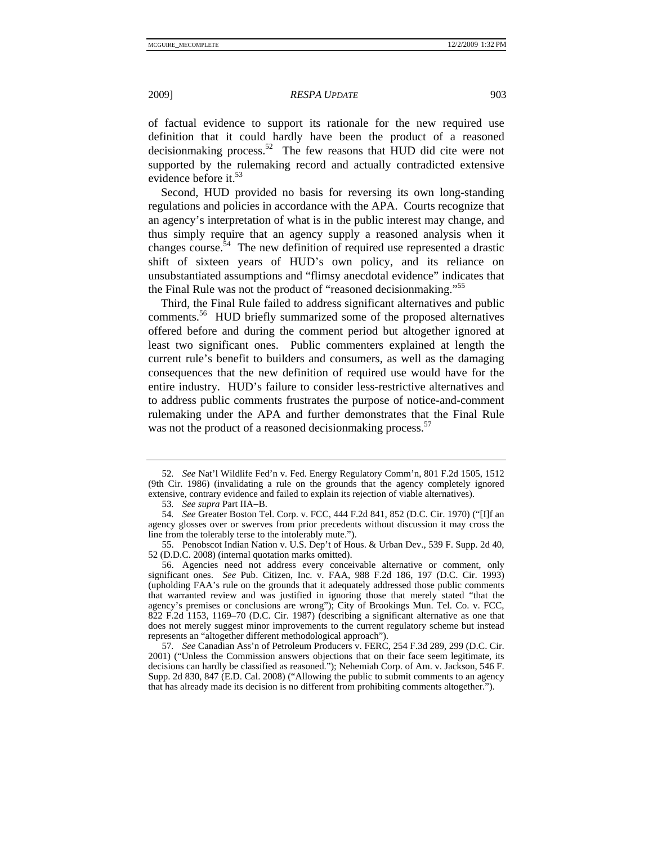of factual evidence to support its rationale for the new required use definition that it could hardly have been the product of a reasoned decisionmaking process.<sup>52</sup> The few reasons that  $\overline{HUD}$  did cite were not supported by the rulemaking record and actually contradicted extensive evidence before it. $53$ 

Second, HUD provided no basis for reversing its own long-standing regulations and policies in accordance with the APA. Courts recognize that an agency's interpretation of what is in the public interest may change, and thus simply require that an agency supply a reasoned analysis when it changes course. $54$  The new definition of required use represented a drastic shift of sixteen years of HUD's own policy, and its reliance on unsubstantiated assumptions and "flimsy anecdotal evidence" indicates that the Final Rule was not the product of "reasoned decisionmaking."55

Third, the Final Rule failed to address significant alternatives and public comments.56 HUD briefly summarized some of the proposed alternatives offered before and during the comment period but altogether ignored at least two significant ones. Public commenters explained at length the current rule's benefit to builders and consumers, as well as the damaging consequences that the new definition of required use would have for the entire industry. HUD's failure to consider less-restrictive alternatives and to address public comments frustrates the purpose of notice-and-comment rulemaking under the APA and further demonstrates that the Final Rule was not the product of a reasoned decision making process.<sup>57</sup>

<sup>52</sup>*. See* Nat'l Wildlife Fed'n v. Fed. Energy Regulatory Comm'n, 801 F.2d 1505, 1512 (9th Cir. 1986) (invalidating a rule on the grounds that the agency completely ignored extensive, contrary evidence and failed to explain its rejection of viable alternatives).

<sup>53</sup>*. See supra* Part IIA−B.

<sup>54</sup>*. See* Greater Boston Tel. Corp. v. FCC, 444 F.2d 841, 852 (D.C. Cir. 1970) ("[I]f an agency glosses over or swerves from prior precedents without discussion it may cross the line from the tolerably terse to the intolerably mute.").

 <sup>55.</sup> Penobscot Indian Nation v. U.S. Dep't of Hous. & Urban Dev., 539 F. Supp. 2d 40, 52 (D.D.C. 2008) (internal quotation marks omitted).

 <sup>56.</sup> Agencies need not address every conceivable alternative or comment, only significant ones. *See* Pub. Citizen, Inc. v. FAA, 988 F.2d 186, 197 (D.C. Cir. 1993) (upholding FAA's rule on the grounds that it adequately addressed those public comments that warranted review and was justified in ignoring those that merely stated "that the agency's premises or conclusions are wrong"); City of Brookings Mun. Tel. Co. v. FCC, 822 F.2d 1153, 1169–70 (D.C. Cir. 1987) (describing a significant alternative as one that does not merely suggest minor improvements to the current regulatory scheme but instead represents an "altogether different methodological approach").

<sup>57</sup>*. See* Canadian Ass'n of Petroleum Producers v. FERC, 254 F.3d 289, 299 (D.C. Cir. 2001) ("Unless the Commission answers objections that on their face seem legitimate, its decisions can hardly be classified as reasoned."); Nehemiah Corp. of Am. v. Jackson, 546 F. Supp. 2d 830, 847 (E.D. Cal. 2008) ("Allowing the public to submit comments to an agency that has already made its decision is no different from prohibiting comments altogether.").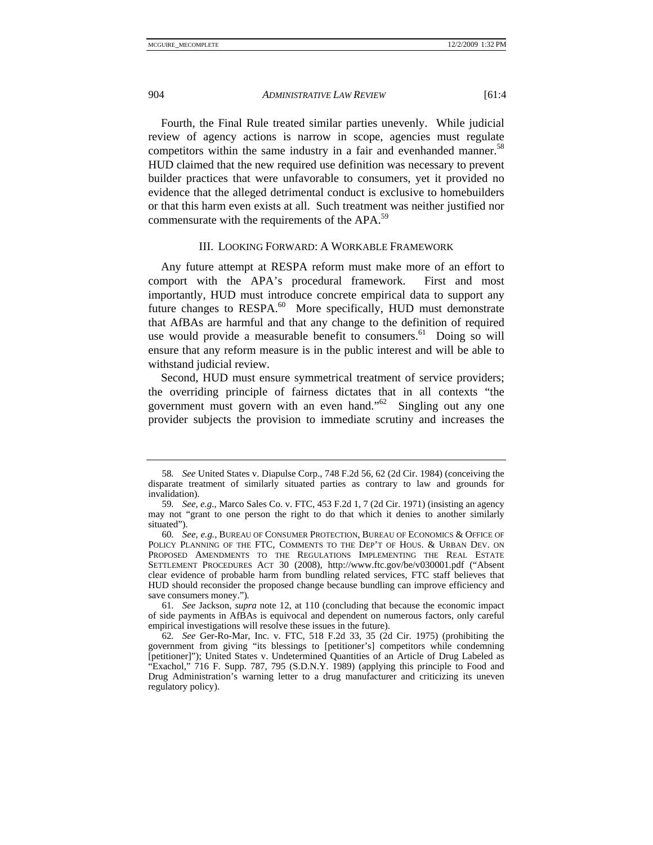Fourth, the Final Rule treated similar parties unevenly. While judicial review of agency actions is narrow in scope, agencies must regulate competitors within the same industry in a fair and evenhanded manner.<sup>58</sup> HUD claimed that the new required use definition was necessary to prevent builder practices that were unfavorable to consumers, yet it provided no evidence that the alleged detrimental conduct is exclusive to homebuilders or that this harm even exists at all. Such treatment was neither justified nor commensurate with the requirements of the APA.<sup>59</sup>

#### III. LOOKING FORWARD: A WORKABLE FRAMEWORK

Any future attempt at RESPA reform must make more of an effort to comport with the APA's procedural framework. First and most importantly, HUD must introduce concrete empirical data to support any future changes to  $RESPA<sup>60</sup>$  More specifically, HUD must demonstrate that AfBAs are harmful and that any change to the definition of required use would provide a measurable benefit to consumers.<sup>61</sup> Doing so will ensure that any reform measure is in the public interest and will be able to withstand judicial review.

Second, HUD must ensure symmetrical treatment of service providers; the overriding principle of fairness dictates that in all contexts "the government must govern with an even hand."<sup>62</sup> Singling out any one provider subjects the provision to immediate scrutiny and increases the

<sup>58</sup>*. See* United States v. Diapulse Corp., 748 F.2d 56, 62 (2d Cir. 1984) (conceiving the disparate treatment of similarly situated parties as contrary to law and grounds for invalidation).

<sup>59</sup>*. See, e.g.*, Marco Sales Co. v. FTC, 453 F.2d 1, 7 (2d Cir. 1971) (insisting an agency may not "grant to one person the right to do that which it denies to another similarly situated").

<sup>60</sup>*. See, e.g.*, BUREAU OF CONSUMER PROTECTION, BUREAU OF ECONOMICS & OFFICE OF POLICY PLANNING OF THE FTC, COMMENTS TO THE DEP'T OF HOUS. & URBAN DEV. ON PROPOSED AMENDMENTS TO THE REGULATIONS IMPLEMENTING THE REAL ESTATE SETTLEMENT PROCEDURES ACT 30 (2008), http://www.ftc.gov/be/v030001.pdf ("Absent clear evidence of probable harm from bundling related services, FTC staff believes that HUD should reconsider the proposed change because bundling can improve efficiency and save consumers money.")*.*

<sup>61</sup>*. See* Jackson, *supra* note 12, at 110 (concluding that because the economic impact of side payments in AfBAs is equivocal and dependent on numerous factors, only careful empirical investigations will resolve these issues in the future).

<sup>62</sup>*. See* Ger-Ro-Mar, Inc. v. FTC, 518 F.2d 33, 35 (2d Cir. 1975) (prohibiting the government from giving "its blessings to [petitioner's] competitors while condemning [petitioner]"); United States v. Undetermined Quantities of an Article of Drug Labeled as "Exachol," 716 F. Supp. 787, 795 (S.D.N.Y. 1989) (applying this principle to Food and Drug Administration's warning letter to a drug manufacturer and criticizing its uneven regulatory policy).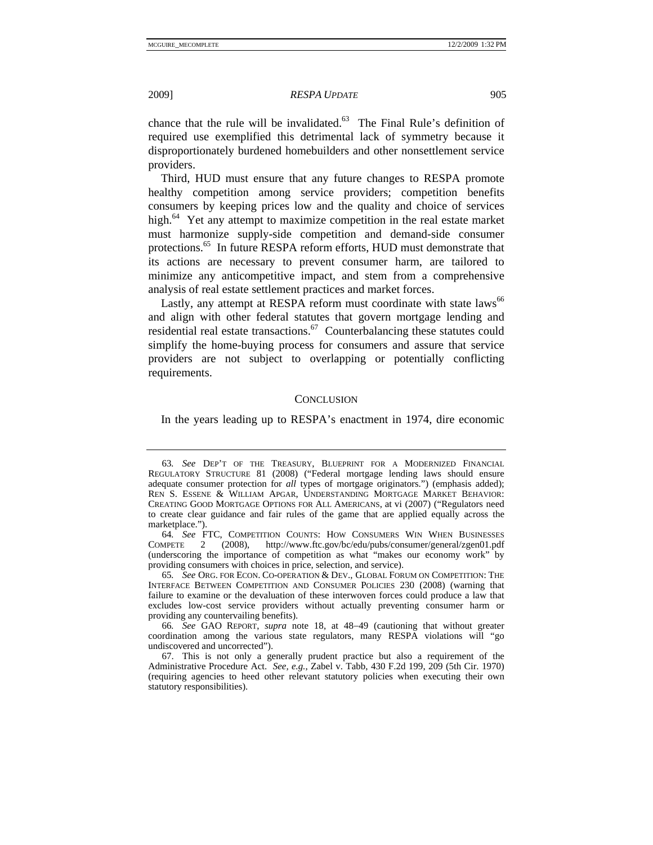chance that the rule will be invalidated. $63$  The Final Rule's definition of required use exemplified this detrimental lack of symmetry because it disproportionately burdened homebuilders and other nonsettlement service providers.

Third, HUD must ensure that any future changes to RESPA promote healthy competition among service providers; competition benefits consumers by keeping prices low and the quality and choice of services high. $^{64}$  Yet any attempt to maximize competition in the real estate market must harmonize supply-side competition and demand-side consumer protections.<sup>65</sup> In future RESPA reform efforts, HUD must demonstrate that its actions are necessary to prevent consumer harm, are tailored to minimize any anticompetitive impact, and stem from a comprehensive analysis of real estate settlement practices and market forces.

Lastly, any attempt at RESPA reform must coordinate with state laws<sup>66</sup> and align with other federal statutes that govern mortgage lending and residential real estate transactions. $67$  Counterbalancing these statutes could simplify the home-buying process for consumers and assure that service providers are not subject to overlapping or potentially conflicting requirements.

#### **CONCLUSION**

In the years leading up to RESPA's enactment in 1974, dire economic

<sup>63</sup>*. See* DEP'T OF THE TREASURY, BLUEPRINT FOR A MODERNIZED FINANCIAL REGULATORY STRUCTURE 81 (2008) ("Federal mortgage lending laws should ensure adequate consumer protection for *all* types of mortgage originators.") (emphasis added); REN S. ESSENE & WILLIAM APGAR, UNDERSTANDING MORTGAGE MARKET BEHAVIOR: CREATING GOOD MORTGAGE OPTIONS FOR ALL AMERICANS, at vi (2007) ("Regulators need to create clear guidance and fair rules of the game that are applied equally across the marketplace.").

<sup>64</sup>*. See* FTC, COMPETITION COUNTS: HOW CONSUMERS WIN WHEN BUSINESSES COMPETE 2 (2008), http://www.ftc.gov/bc/edu/pubs/consumer/general/zgen01.pdf (underscoring the importance of competition as what "makes our economy work" by providing consumers with choices in price, selection, and service).

<sup>65</sup>*. See* ORG. FOR ECON. CO-OPERATION & DEV., GLOBAL FORUM ON COMPETITION: THE INTERFACE BETWEEN COMPETITION AND CONSUMER POLICIES 230 (2008) (warning that failure to examine or the devaluation of these interwoven forces could produce a law that excludes low-cost service providers without actually preventing consumer harm or providing any countervailing benefits).

<sup>66</sup>*. See* GAO REPORT, *supra* note 18, at 48−49 (cautioning that without greater coordination among the various state regulators, many RESPA violations will "go undiscovered and uncorrected").

 <sup>67.</sup> This is not only a generally prudent practice but also a requirement of the Administrative Procedure Act. *See, e.g.*, Zabel v. Tabb, 430 F.2d 199, 209 (5th Cir. 1970) (requiring agencies to heed other relevant statutory policies when executing their own statutory responsibilities).